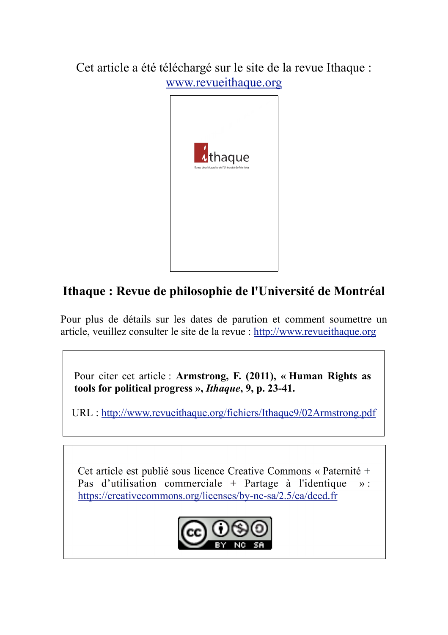Cet article a été téléchargé sur le site de la revue Ithaque : www.revueithaque.org



## **Ithaque : Revue de philosophie de l'Université de Montréal**

Pour plus de détails sur les dates de parution et comment soumettre un article, veuillez consulter le site de la revue : http://www.revueithaque.org

Pour citer cet article : **Armstrong, F. (2011), « Human Rights as tools for political progress »,** *Ithaque***, 9, p. 23-41.**

URL : http://www.revueithaque.org/fichiers/Ithaque9/02Armstrong.pdf

Cet article est publié sous licence Creative Commons « Paternité + Pas d'utilisation commerciale + Partage à l'identique  $\mathcal{D}$ : https://creativecommons.org/licenses/by-nc-sa/2.5/ca/deed.fr

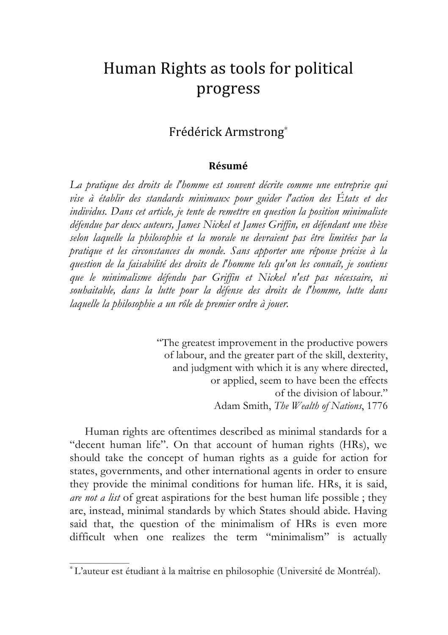# Human Rights as tools for political progress

## Frédérick
Armstrong<sup>∗</sup>

#### **Résumé**

*La pratique des droits de l'homme est souvent décrite comme une entreprise qui vise à établir des standards minimaux pour guider l'action des États et des individus. Dans cet article, je tente de remettre en question la position minimaliste défendue par deux auteurs, James Nickel et James Griffin, en défendant une thèse selon laquelle la philosophie et la morale ne devraient pas être limitées par la pratique et les circonstances du monde. Sans apporter une réponse précise à la question de la faisabilité des droits de l'homme tels qu'on les connaît, je soutiens que le minimalisme défendu par Griffin et Nickel n'est pas nécessaire, ni souhaitable, dans la lutte pour la défense des droits de l'homme, lutte dans laquelle la philosophie a un rôle de premier ordre à jouer.*

> "The greatest improvement in the productive powers of labour, and the greater part of the skill, dexterity, and judgment with which it is any where directed, or applied, seem to have been the effects of the division of labour." Adam Smith, *The Wealth of Nations*, 1776

Human rights are oftentimes described as minimal standards for a "decent human life". On that account of human rights (HRs), we should take the concept of human rights as a guide for action for states, governments, and other international agents in order to ensure they provide the minimal conditions for human life. HRs, it is said, *are not a list* of great aspirations for the best human life possible ; they are, instead, minimal standards by which States should abide. Having said that, the question of the minimalism of HRs is even more difficult when one realizes the term "minimalism" is actually

 $\mathcal{L}_\text{max}$  and  $\mathcal{L}_\text{max}$ 

<sup>∗</sup> L'auteur est étudiant à la maîtrise en philosophie (Université de Montréal).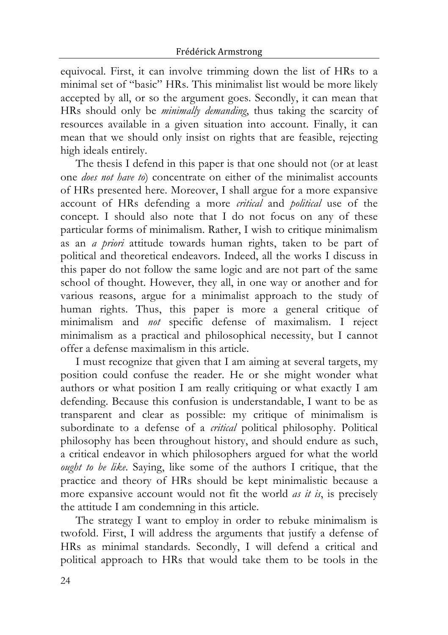equivocal. First, it can involve trimming down the list of HRs to a minimal set of "basic" HRs. This minimalist list would be more likely accepted by all, or so the argument goes. Secondly, it can mean that HRs should only be *minimally demanding*, thus taking the scarcity of resources available in a given situation into account. Finally, it can mean that we should only insist on rights that are feasible, rejecting high ideals entirely.

The thesis I defend in this paper is that one should not (or at least one *does not have to*) concentrate on either of the minimalist accounts of HRs presented here. Moreover, I shall argue for a more expansive account of HRs defending a more *critical* and *political* use of the concept. I should also note that I do not focus on any of these particular forms of minimalism. Rather, I wish to critique minimalism as an *a priori* attitude towards human rights, taken to be part of political and theoretical endeavors. Indeed, all the works I discuss in this paper do not follow the same logic and are not part of the same school of thought. However, they all, in one way or another and for various reasons, argue for a minimalist approach to the study of human rights. Thus, this paper is more a general critique of minimalism and *not* specific defense of maximalism. I reject minimalism as a practical and philosophical necessity, but I cannot offer a defense maximalism in this article.

I must recognize that given that I am aiming at several targets, my position could confuse the reader. He or she might wonder what authors or what position I am really critiquing or what exactly I am defending. Because this confusion is understandable, I want to be as transparent and clear as possible: my critique of minimalism is subordinate to a defense of a *critical* political philosophy. Political philosophy has been throughout history, and should endure as such, a critical endeavor in which philosophers argued for what the world *ought to be like*. Saying, like some of the authors I critique, that the practice and theory of HRs should be kept minimalistic because a more expansive account would not fit the world *as it is*, is precisely the attitude I am condemning in this article.

The strategy I want to employ in order to rebuke minimalism is twofold. First, I will address the arguments that justify a defense of HRs as minimal standards. Secondly, I will defend a critical and political approach to HRs that would take them to be tools in the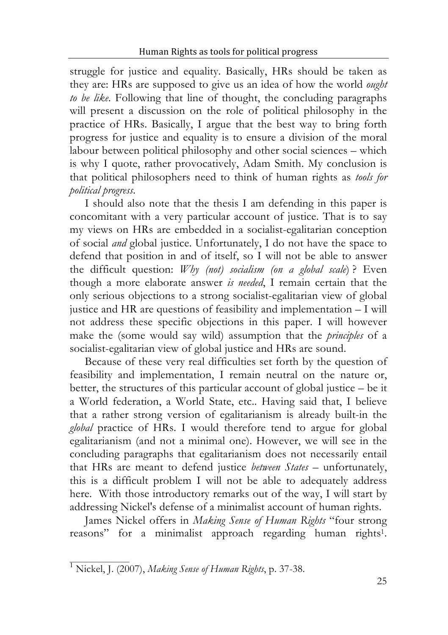struggle for justice and equality. Basically, HRs should be taken as they are: HRs are supposed to give us an idea of how the world *ought to be like*. Following that line of thought, the concluding paragraphs will present a discussion on the role of political philosophy in the practice of HRs. Basically, I argue that the best way to bring forth progress for justice and equality is to ensure a division of the moral labour between political philosophy and other social sciences – which is why I quote, rather provocatively, Adam Smith. My conclusion is that political philosophers need to think of human rights as *tools for political progress*.

I should also note that the thesis I am defending in this paper is concomitant with a very particular account of justice. That is to say my views on HRs are embedded in a socialist-egalitarian conception of social *and* global justice. Unfortunately, I do not have the space to defend that position in and of itself, so I will not be able to answer the difficult question: *Why (not) socialism (on a global scale*) ? Even though a more elaborate answer *is needed*, I remain certain that the only serious objections to a strong socialist-egalitarian view of global justice and HR are questions of feasibility and implementation – I will not address these specific objections in this paper. I will however make the (some would say wild) assumption that the *principles* of a socialist-egalitarian view of global justice and HRs are sound.

Because of these very real difficulties set forth by the question of feasibility and implementation, I remain neutral on the nature or, better, the structures of this particular account of global justice – be it a World federation, a World State, etc.. Having said that, I believe that a rather strong version of egalitarianism is already built-in the *global* practice of HRs. I would therefore tend to argue for global egalitarianism (and not a minimal one). However, we will see in the concluding paragraphs that egalitarianism does not necessarily entail that HRs are meant to defend justice *between States* – unfortunately, this is a difficult problem I will not be able to adequately address here. With those introductory remarks out of the way, I will start by addressing Nickel's defense of a minimalist account of human rights.

James Nickel offers in *Making Sense of Human Rights* "four strong reasons" for a minimalist approach regarding human rights1.

\_\_\_\_\_\_\_\_\_\_\_\_\_\_ <sup>1</sup> Nickel, J. (2007), *Making Sense of Human Rights*, p. 37-38.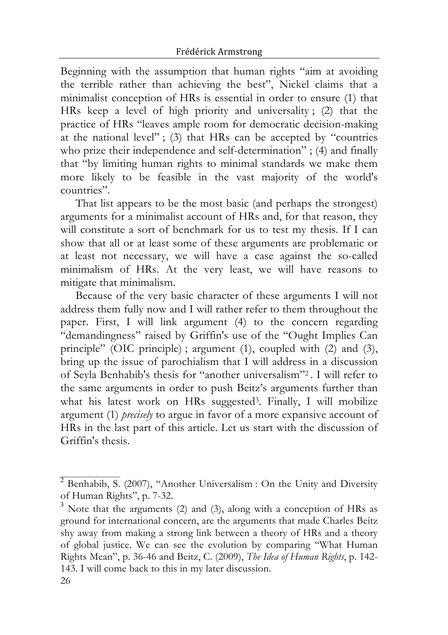Beginning with the assumption that human rights "aim at avoiding the terrible rather than achieving the best", Nickel claims that a minimalist conception of HRs is essential in order to ensure (1) that HRs keep a level of high priority and universality ; (2) that the practice of HRs "leaves ample room for democratic decision-making at the national level" ; (3) that HRs can be accepted by "countries who prize their independence and self-determination" ; (4) and finally that "by limiting human rights to minimal standards we make them more likely to be feasible in the vast majority of the world's countries".

That list appears to be the most basic (and perhaps the strongest) arguments for a minimalist account of HRs and, for that reason, they will constitute a sort of benchmark for us to test my thesis. If I can show that all or at least some of these arguments are problematic or at least not necessary, we will have a case against the so-called minimalism of HRs. At the very least, we will have reasons to mitigate that minimalism.

Because of the very basic character of these arguments I will not address them fully now and I will rather refer to them throughout the paper. First, I will link argument (4) to the concern regarding "demandingness" raised by Griffin's use of the "Ought Implies Can principle" (OIC principle) ; argument (1), coupled with (2) and (3), bring up the issue of parochialism that I will address in a discussion of Seyla Benhabib's thesis for "another universalism"2 . I will refer to the same arguments in order to push Beitz's arguments further than what his latest work on HRs suggested<sup>3</sup>. Finally, I will mobilize argument (1) *precisely* to argue in favor of a more expansive account of HRs in the last part of this article. Let us start with the discussion of Griffin's thesis.

 $^2$  Benhabib, S. (2007), "Another Universalism : On the Unity and Diversity of Human Rights", p. 7-32.

<sup>26</sup>  $3$  Note that the arguments (2) and (3), along with a conception of HRs as ground for international concern, are the arguments that made Charles Beitz shy away from making a strong link between a theory of HRs and a theory of global justice. We can see the evolution by comparing "What Human Rights Mean", p. 36-46 and Beitz, C. (2009), *The Idea of Human Rights*, p. 142- 143. I will come back to this in my later discussion.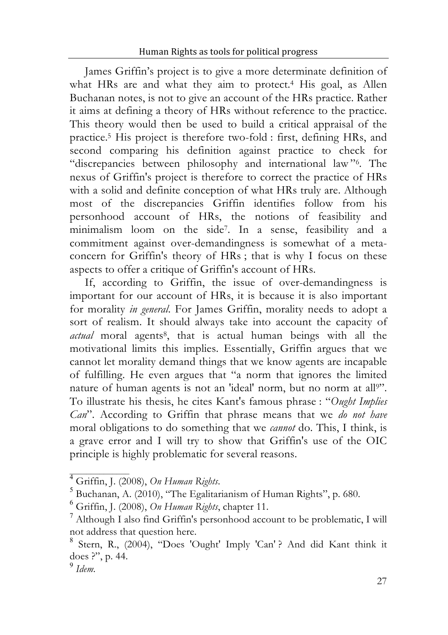James Griffin's project is to give a more determinate definition of what HRs are and what they aim to protect.<sup>4</sup> His goal, as Allen Buchanan notes, is not to give an account of the HRs practice. Rather it aims at defining a theory of HRs without reference to the practice. This theory would then be used to build a critical appraisal of the practice.5 His project is therefore two-fold : first, defining HRs, and second comparing his definition against practice to check for "discrepancies between philosophy and international law "6. The nexus of Griffin's project is therefore to correct the practice of HRs with a solid and definite conception of what HRs truly are. Although most of the discrepancies Griffin identifies follow from his personhood account of HRs, the notions of feasibility and minimalism loom on the side7. In a sense, feasibility and a commitment against over-demandingness is somewhat of a metaconcern for Griffin's theory of HRs ; that is why I focus on these aspects to offer a critique of Griffin's account of HRs.

If, according to Griffin, the issue of over-demandingness is important for our account of HRs, it is because it is also important for morality *in general*. For James Griffin, morality needs to adopt a sort of realism. It should always take into account the capacity of *actual* moral agents8, that is actual human beings with all the motivational limits this implies. Essentially, Griffin argues that we cannot let morality demand things that we know agents are incapable of fulfilling. He even argues that "a norm that ignores the limited nature of human agents is not an 'ideal' norm, but no norm at all<sup>9"</sup>. To illustrate his thesis, he cites Kant's famous phrase : "*Ought Implies Can*". According to Griffin that phrase means that we *do not have* moral obligations to do something that we *cannot* do. This, I think, is a grave error and I will try to show that Griffin's use of the OIC principle is highly problematic for several reasons.

\_\_\_\_\_\_\_\_\_\_\_\_\_\_ <sup>4</sup> Griffin, J. (2008), *On Human Rights*. <sup>5</sup> Buchanan, A. (2010), "The Egalitarianism of Human Rights", p. 680. <sup>6</sup> Griffin, J. (2008), *On Human Rights*, chapter 11. <sup>7</sup>

 $^7$  Although I also find Griffin's personhood account to be problematic, I will not address that question here.

Stern, R., (2004), "Does 'Ought' Imply 'Can' ? And did Kant think it does ?", p. 44. <sup>9</sup> *Idem.*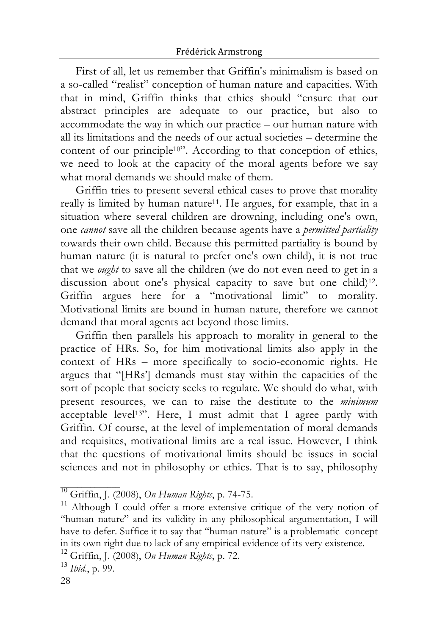First of all, let us remember that Griffin's minimalism is based on a so-called "realist" conception of human nature and capacities. With that in mind, Griffin thinks that ethics should "ensure that our abstract principles are adequate to our practice, but also to accommodate the way in which our practice – our human nature with all its limitations and the needs of our actual societies – determine the content of our principle<sup>10"</sup>. According to that conception of ethics, we need to look at the capacity of the moral agents before we say what moral demands we should make of them.

Griffin tries to present several ethical cases to prove that morality really is limited by human nature11. He argues, for example, that in a situation where several children are drowning, including one's own, one *cannot* save all the children because agents have a *permitted partiality* towards their own child. Because this permitted partiality is bound by human nature (it is natural to prefer one's own child), it is not true that we *ought* to save all the children (we do not even need to get in a discussion about one's physical capacity to save but one child)12. Griffin argues here for a "motivational limit" to morality. Motivational limits are bound in human nature, therefore we cannot demand that moral agents act beyond those limits.

Griffin then parallels his approach to morality in general to the practice of HRs. So, for him motivational limits also apply in the context of HRs – more specifically to socio-economic rights. He argues that "[HRs'] demands must stay within the capacities of the sort of people that society seeks to regulate. We should do what, with present resources, we can to raise the destitute to the *minimum* acceptable level13". Here, I must admit that I agree partly with Griffin. Of course, at the level of implementation of moral demands and requisites, motivational limits are a real issue. However, I think that the questions of motivational limits should be issues in social sciences and not in philosophy or ethics. That is to say, philosophy

<sup>&</sup>lt;sup>10</sup> Griffin, J. (2008), *On Human Rights*, p. 74-75. <sup>11</sup> Although I could offer a more extensive critique of the very notion of "human nature" and its validity in any philosophical argumentation, I will have to defer. Suffice it to say that "human nature" is a problematic concept in its own right due to lack of any empirical evidence of its very existence. <sup>12</sup> Griffin, J. (2008), *On Human Rights*, p. 72. <sup>13</sup> *Ibid*., p. 99.

<sup>28</sup>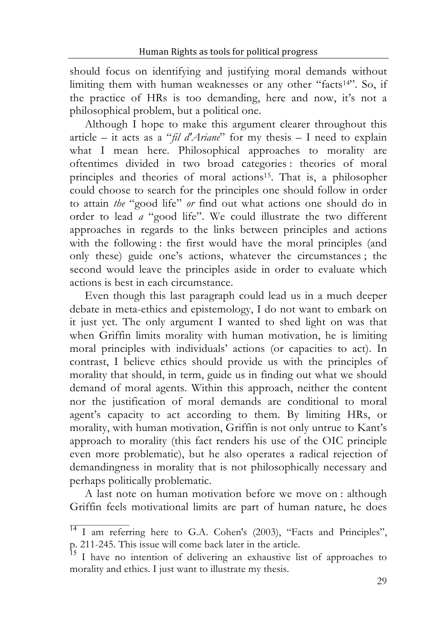should focus on identifying and justifying moral demands without limiting them with human weaknesses or any other "facts<sup>14"</sup>. So, if the practice of HRs is too demanding, here and now, it's not a philosophical problem, but a political one.

Although I hope to make this argument clearer throughout this article – it acts as a "*fil d'Ariane*" for my thesis – I need to explain what I mean here. Philosophical approaches to morality are oftentimes divided in two broad categories : theories of moral principles and theories of moral actions15. That is, a philosopher could choose to search for the principles one should follow in order to attain *the* "good life" *or* find out what actions one should do in order to lead *a* "good life". We could illustrate the two different approaches in regards to the links between principles and actions with the following : the first would have the moral principles (and only these) guide one's actions, whatever the circumstances ; the second would leave the principles aside in order to evaluate which actions is best in each circumstance.

Even though this last paragraph could lead us in a much deeper debate in meta-ethics and epistemology, I do not want to embark on it just yet. The only argument I wanted to shed light on was that when Griffin limits morality with human motivation, he is limiting moral principles with individuals' actions (or capacities to act). In contrast, I believe ethics should provide us with the principles of morality that should, in term, guide us in finding out what we should demand of moral agents. Within this approach, neither the content nor the justification of moral demands are conditional to moral agent's capacity to act according to them. By limiting HRs, or morality, with human motivation, Griffin is not only untrue to Kant's approach to morality (this fact renders his use of the OIC principle even more problematic), but he also operates a radical rejection of demandingness in morality that is not philosophically necessary and perhaps politically problematic.

A last note on human motivation before we move on : although Griffin feels motivational limits are part of human nature, he does

<sup>&</sup>lt;sup>14</sup> I am referring here to G.A. Cohen's (2003), "Facts and Principles", p. 211-245. This issue will come back later in the article.<br><sup>15</sup>I have no intention of delivering an exhaustive list of approaches to

morality and ethics. I just want to illustrate my thesis.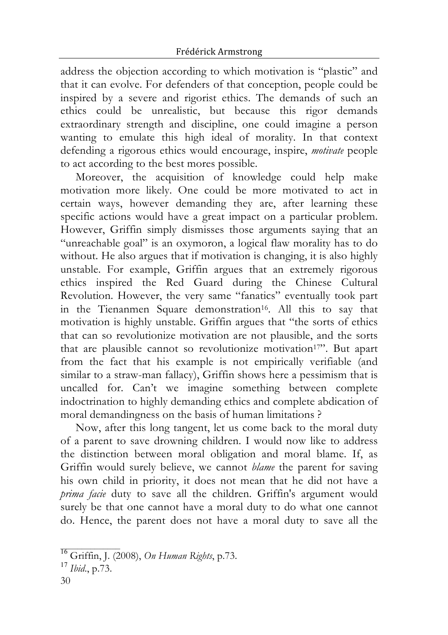address the objection according to which motivation is "plastic" and that it can evolve. For defenders of that conception, people could be inspired by a severe and rigorist ethics. The demands of such an ethics could be unrealistic, but because this rigor demands extraordinary strength and discipline, one could imagine a person wanting to emulate this high ideal of morality. In that context defending a rigorous ethics would encourage, inspire, *motivate* people to act according to the best mores possible.

Moreover, the acquisition of knowledge could help make motivation more likely. One could be more motivated to act in certain ways, however demanding they are, after learning these specific actions would have a great impact on a particular problem. However, Griffin simply dismisses those arguments saying that an "unreachable goal" is an oxymoron, a logical flaw morality has to do without. He also argues that if motivation is changing, it is also highly unstable. For example, Griffin argues that an extremely rigorous ethics inspired the Red Guard during the Chinese Cultural Revolution. However, the very same "fanatics" eventually took part in the Tienanmen Square demonstration<sup>16</sup>. All this to say that motivation is highly unstable. Griffin argues that "the sorts of ethics that can so revolutionize motivation are not plausible, and the sorts that are plausible cannot so revolutionize motivation<sup>17"</sup>. But apart from the fact that his example is not empirically verifiable (and similar to a straw-man fallacy), Griffin shows here a pessimism that is uncalled for. Can't we imagine something between complete indoctrination to highly demanding ethics and complete abdication of moral demandingness on the basis of human limitations ?

Now, after this long tangent, let us come back to the moral duty of a parent to save drowning children. I would now like to address the distinction between moral obligation and moral blame. If, as Griffin would surely believe, we cannot *blame* the parent for saving his own child in priority, it does not mean that he did not have a *prima facie* duty to save all the children. Griffin's argument would surely be that one cannot have a moral duty to do what one cannot do. Hence, the parent does not have a moral duty to save all the

\_\_\_\_\_\_\_\_\_\_\_\_\_\_ <sup>16</sup> Griffin, J. (2008), *On Human Rights*, p.73. <sup>17</sup> *Ibid*., p.73.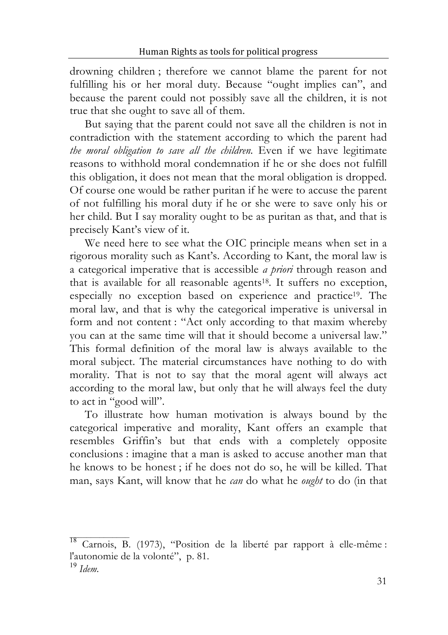drowning children ; therefore we cannot blame the parent for not fulfilling his or her moral duty. Because "ought implies can", and because the parent could not possibly save all the children, it is not true that she ought to save all of them.

But saying that the parent could not save all the children is not in contradiction with the statement according to which the parent had *the moral obligation to save all the children.* Even if we have legitimate reasons to withhold moral condemnation if he or she does not fulfill this obligation, it does not mean that the moral obligation is dropped*.* Of course one would be rather puritan if he were to accuse the parent of not fulfilling his moral duty if he or she were to save only his or her child. But I say morality ought to be as puritan as that, and that is precisely Kant's view of it.

We need here to see what the OIC principle means when set in a rigorous morality such as Kant's. According to Kant, the moral law is a categorical imperative that is accessible *a priori* through reason and that is available for all reasonable agents18. It suffers no exception, especially no exception based on experience and practice19. The moral law, and that is why the categorical imperative is universal in form and not content : "Act only according to that maxim whereby you can at the same time will that it should become a universal law." This formal definition of the moral law is always available to the moral subject. The material circumstances have nothing to do with morality. That is not to say that the moral agent will always act according to the moral law, but only that he will always feel the duty to act in "good will".

To illustrate how human motivation is always bound by the categorical imperative and morality, Kant offers an example that resembles Griffin's but that ends with a completely opposite conclusions : imagine that a man is asked to accuse another man that he knows to be honest ; if he does not do so, he will be killed. That man, says Kant, will know that he *can* do what he *ought* to do (in that

<sup>&</sup>lt;sup>18</sup> Carnois, B. (1973), "Position de la liberté par rapport à elle-même : l'autonomie de la volonté", p. 81. <sup>19</sup> *Idem.*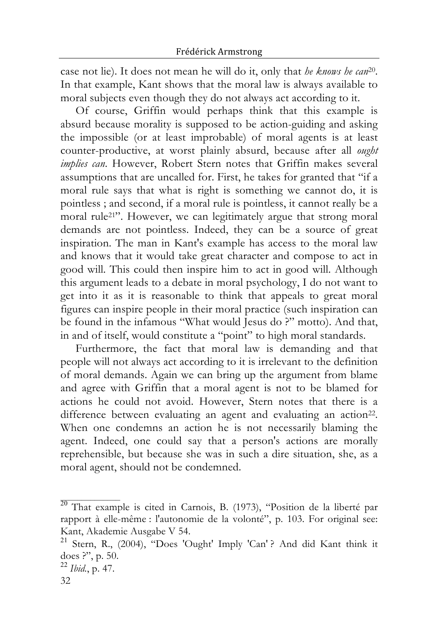case not lie). It does not mean he will do it, only that *he knows he can*20. In that example, Kant shows that the moral law is always available to moral subjects even though they do not always act according to it.

Of course, Griffin would perhaps think that this example is absurd because morality is supposed to be action-guiding and asking the impossible (or at least improbable) of moral agents is at least counter-productive, at worst plainly absurd, because after all *ought implies can*. However, Robert Stern notes that Griffin makes several assumptions that are uncalled for. First, he takes for granted that "if a moral rule says that what is right is something we cannot do, it is pointless ; and second, if a moral rule is pointless, it cannot really be a moral rule21". However, we can legitimately argue that strong moral demands are not pointless. Indeed, they can be a source of great inspiration. The man in Kant's example has access to the moral law and knows that it would take great character and compose to act in good will. This could then inspire him to act in good will. Although this argument leads to a debate in moral psychology, I do not want to get into it as it is reasonable to think that appeals to great moral figures can inspire people in their moral practice (such inspiration can be found in the infamous "What would Jesus do ?" motto). And that, in and of itself, would constitute a "point" to high moral standards.

Furthermore, the fact that moral law is demanding and that people will not always act according to it is irrelevant to the definition of moral demands. Again we can bring up the argument from blame and agree with Griffin that a moral agent is not to be blamed for actions he could not avoid. However, Stern notes that there is a difference between evaluating an agent and evaluating an action<sup>22</sup>. When one condemns an action he is not necessarily blaming the agent. Indeed, one could say that a person's actions are morally reprehensible, but because she was in such a dire situation, she, as a moral agent, should not be condemned.

<sup>&</sup>lt;sup>20</sup> That example is cited in Carnois, B. (1973), "Position de la liberté par rapport à elle-même : l'autonomie de la volonté", p. 103. For original see:

Kant, Akademie Ausgabe V 54.<br><sup>21</sup> Stern, R., (2004), "Does 'Ought' Imply 'Can' ? And did Kant think it does ?", p. 50.

<sup>&</sup>lt;sup>22</sup> Ibid., p. 47.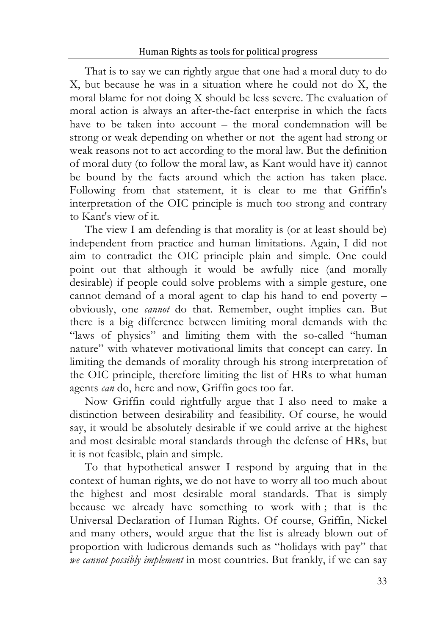That is to say we can rightly argue that one had a moral duty to do X, but because he was in a situation where he could not do X, the moral blame for not doing X should be less severe. The evaluation of moral action is always an after-the-fact enterprise in which the facts have to be taken into account – the moral condemnation will be strong or weak depending on whether or not the agent had strong or weak reasons not to act according to the moral law. But the definition of moral duty (to follow the moral law, as Kant would have it) cannot be bound by the facts around which the action has taken place. Following from that statement, it is clear to me that Griffin's interpretation of the OIC principle is much too strong and contrary to Kant's view of it.

The view I am defending is that morality is (or at least should be) independent from practice and human limitations. Again, I did not aim to contradict the OIC principle plain and simple. One could point out that although it would be awfully nice (and morally desirable) if people could solve problems with a simple gesture, one cannot demand of a moral agent to clap his hand to end poverty – obviously, one *cannot* do that. Remember, ought implies can. But there is a big difference between limiting moral demands with the "laws of physics" and limiting them with the so-called "human nature" with whatever motivational limits that concept can carry. In limiting the demands of morality through his strong interpretation of the OIC principle, therefore limiting the list of HRs to what human agents *can* do, here and now, Griffin goes too far.

Now Griffin could rightfully argue that I also need to make a distinction between desirability and feasibility. Of course, he would say, it would be absolutely desirable if we could arrive at the highest and most desirable moral standards through the defense of HRs, but it is not feasible, plain and simple.

To that hypothetical answer I respond by arguing that in the context of human rights, we do not have to worry all too much about the highest and most desirable moral standards. That is simply because we already have something to work with ; that is the Universal Declaration of Human Rights. Of course, Griffin, Nickel and many others, would argue that the list is already blown out of proportion with ludicrous demands such as "holidays with pay" that *we cannot possibly implement* in most countries. But frankly, if we can say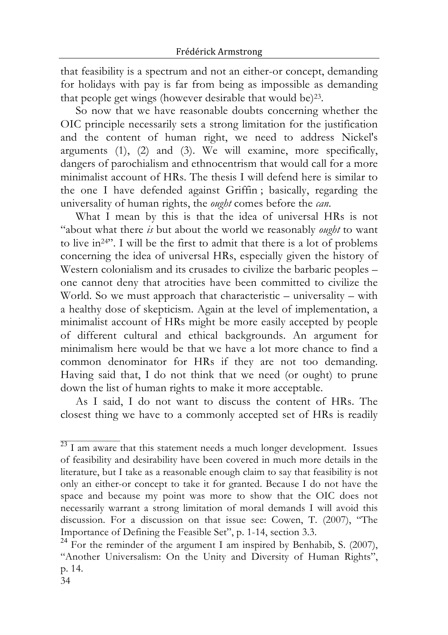that feasibility is a spectrum and not an either-or concept, demanding for holidays with pay is far from being as impossible as demanding that people get wings (however desirable that would be)23.

So now that we have reasonable doubts concerning whether the OIC principle necessarily sets a strong limitation for the justification and the content of human right, we need to address Nickel's arguments (1), (2) and (3). We will examine, more specifically, dangers of parochialism and ethnocentrism that would call for a more minimalist account of HRs. The thesis I will defend here is similar to the one I have defended against Griffin ; basically, regarding the universality of human rights, the *ought* comes before the *can*.

What I mean by this is that the idea of universal HRs is not "about what there *is* but about the world we reasonably *ought* to want to live in24". I will be the first to admit that there is a lot of problems concerning the idea of universal HRs, especially given the history of Western colonialism and its crusades to civilize the barbaric peoples – one cannot deny that atrocities have been committed to civilize the World. So we must approach that characteristic – universality – with a healthy dose of skepticism. Again at the level of implementation, a minimalist account of HRs might be more easily accepted by people of different cultural and ethical backgrounds. An argument for minimalism here would be that we have a lot more chance to find a common denominator for HRs if they are not too demanding. Having said that, I do not think that we need (or ought) to prune down the list of human rights to make it more acceptable.

As I said, I do not want to discuss the content of HRs. The closest thing we have to a commonly accepted set of HRs is readily

 $23$  I am aware that this statement needs a much longer development. Issues of feasibility and desirability have been covered in much more details in the literature, but I take as a reasonable enough claim to say that feasibility is not only an either-or concept to take it for granted. Because I do not have the space and because my point was more to show that the OIC does not necessarily warrant a strong limitation of moral demands I will avoid this discussion. For a discussion on that issue see: Cowen, T. (2007), "The Importance of Defining the Feasible Set", p. 1-14, section 3.3. <sup>24</sup> For the reminder of the argument <sup>I</sup> am inspired by Benhabib, S. (2007),

<sup>&</sup>quot;Another Universalism: On the Unity and Diversity of Human Rights", p. 14.

<sup>34</sup>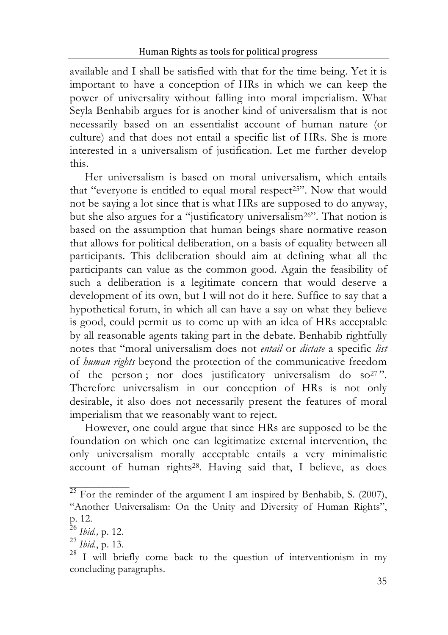available and I shall be satisfied with that for the time being. Yet it is important to have a conception of HRs in which we can keep the power of universality without falling into moral imperialism. What Seyla Benhabib argues for is another kind of universalism that is not necessarily based on an essentialist account of human nature (or culture) and that does not entail a specific list of HRs. She is more interested in a universalism of justification. Let me further develop this.

Her universalism is based on moral universalism, which entails that "everyone is entitled to equal moral respect<sup>25"</sup>. Now that would not be saying a lot since that is what HRs are supposed to do anyway, but she also argues for a "justificatory universalism26". That notion is based on the assumption that human beings share normative reason that allows for political deliberation, on a basis of equality between all participants. This deliberation should aim at defining what all the participants can value as the common good. Again the feasibility of such a deliberation is a legitimate concern that would deserve a development of its own, but I will not do it here. Suffice to say that a hypothetical forum, in which all can have a say on what they believe is good, could permit us to come up with an idea of HRs acceptable by all reasonable agents taking part in the debate. Benhabib rightfully notes that "moral universalism does not *entail* or *dictate* a specific *list* of *human rights* beyond the protection of the communicative freedom of the person; nor does justificatory universalism do so<sup>27</sup>". Therefore universalism in our conception of HRs is not only desirable, it also does not necessarily present the features of moral imperialism that we reasonably want to reject.

However, one could argue that since HRs are supposed to be the foundation on which one can legitimatize external intervention, the only universalism morally acceptable entails a very minimalistic account of human rights28. Having said that, I believe, as does

 $^{25}$  For the reminder of the argument I am inspired by Benhabib, S. (2007), "Another Universalism: On the Unity and Diversity of Human Rights",

p. 12.<br><sup>26</sup> *Ibid.*, p. 12.<br><sup>27</sup> *Ibid.*, p. 13.<br><sup>28</sup> I will briefly come back to the question of interventionism in my concluding paragraphs.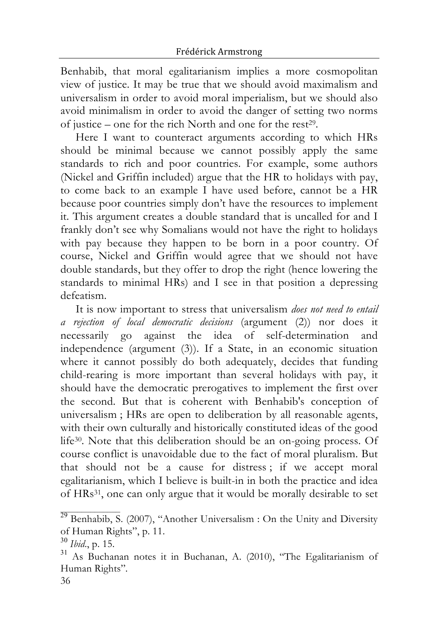Benhabib, that moral egalitarianism implies a more cosmopolitan view of justice. It may be true that we should avoid maximalism and universalism in order to avoid moral imperialism, but we should also avoid minimalism in order to avoid the danger of setting two norms of justice – one for the rich North and one for the rest29.

Here I want to counteract arguments according to which HRs should be minimal because we cannot possibly apply the same standards to rich and poor countries. For example, some authors (Nickel and Griffin included) argue that the HR to holidays with pay, to come back to an example I have used before, cannot be a HR because poor countries simply don't have the resources to implement it. This argument creates a double standard that is uncalled for and I frankly don't see why Somalians would not have the right to holidays with pay because they happen to be born in a poor country. Of course, Nickel and Griffin would agree that we should not have double standards, but they offer to drop the right (hence lowering the standards to minimal HRs) and I see in that position a depressing defeatism.

It is now important to stress that universalism *does not need to entail a rejection of local democratic decisions* (argument (2)) nor does it necessarily go against the idea of self-determination and independence (argument (3)). If a State, in an economic situation where it cannot possibly do both adequately, decides that funding child-rearing is more important than several holidays with pay, it should have the democratic prerogatives to implement the first over the second. But that is coherent with Benhabib's conception of universalism ; HRs are open to deliberation by all reasonable agents, with their own culturally and historically constituted ideas of the good life30. Note that this deliberation should be an on-going process. Of course conflict is unavoidable due to the fact of moral pluralism. But that should not be a cause for distress ; if we accept moral egalitarianism, which I believe is built-in in both the practice and idea of HRs31, one can only argue that it would be morally desirable to set

 $^{29}$  Benhabib, S. (2007), "Another Universalism : On the Unity and Diversity of Human Rights", p. 11.

<sup>&</sup>lt;sup>30</sup> Ibid., p. 15. <sup>31</sup> As Buchanan notes it in Buchanan, A. (2010), "The Egalitarianism of Human Rights"*.*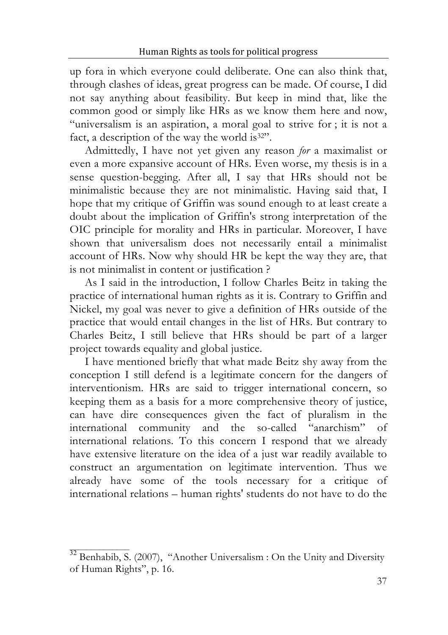up fora in which everyone could deliberate. One can also think that, through clashes of ideas, great progress can be made. Of course, I did not say anything about feasibility. But keep in mind that, like the common good or simply like HRs as we know them here and now, "universalism is an aspiration, a moral goal to strive for ; it is not a fact, a description of the way the world is<sup>32"</sup>.

Admittedly, I have not yet given any reason *for* a maximalist or even a more expansive account of HRs. Even worse, my thesis is in a sense question-begging. After all, I say that HRs should not be minimalistic because they are not minimalistic. Having said that, I hope that my critique of Griffin was sound enough to at least create a doubt about the implication of Griffin's strong interpretation of the OIC principle for morality and HRs in particular. Moreover, I have shown that universalism does not necessarily entail a minimalist account of HRs. Now why should HR be kept the way they are, that is not minimalist in content or justification ?

As I said in the introduction, I follow Charles Beitz in taking the practice of international human rights as it is. Contrary to Griffin and Nickel, my goal was never to give a definition of HRs outside of the practice that would entail changes in the list of HRs. But contrary to Charles Beitz, I still believe that HRs should be part of a larger project towards equality and global justice.

I have mentioned briefly that what made Beitz shy away from the conception I still defend is a legitimate concern for the dangers of interventionism. HRs are said to trigger international concern, so keeping them as a basis for a more comprehensive theory of justice, can have dire consequences given the fact of pluralism in the international community and the so-called "anarchism" of international relations. To this concern I respond that we already have extensive literature on the idea of a just war readily available to construct an argumentation on legitimate intervention. Thus we already have some of the tools necessary for a critique of international relations – human rights' students do not have to do the

 $32$  Benhabib, S. (2007), "Another Universalism : On the Unity and Diversity of Human Rights", p. 16.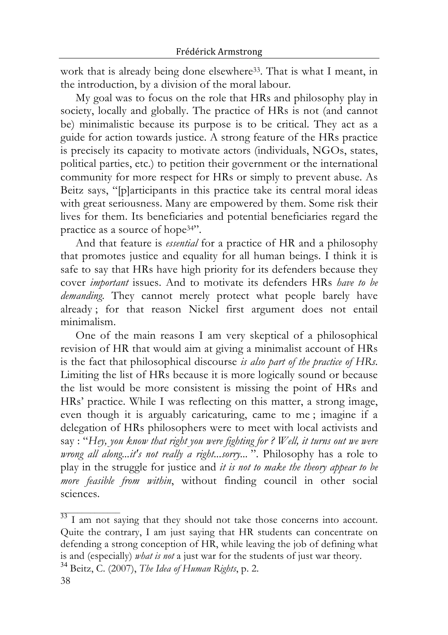work that is already being done elsewhere<sup>33</sup>. That is what I meant, in the introduction, by a division of the moral labour.

My goal was to focus on the role that HRs and philosophy play in society, locally and globally. The practice of HRs is not (and cannot be) minimalistic because its purpose is to be critical. They act as a guide for action towards justice. A strong feature of the HRs practice is precisely its capacity to motivate actors (individuals, NGOs, states, political parties, etc.) to petition their government or the international community for more respect for HRs or simply to prevent abuse. As Beitz says, "[p]articipants in this practice take its central moral ideas with great seriousness. Many are empowered by them. Some risk their lives for them. Its beneficiaries and potential beneficiaries regard the practice as a source of hope34".

And that feature is *essential* for a practice of HR and a philosophy that promotes justice and equality for all human beings. I think it is safe to say that HRs have high priority for its defenders because they cover *important* issues. And to motivate its defenders HRs *have to be demanding*. They cannot merely protect what people barely have already ; for that reason Nickel first argument does not entail minimalism.

One of the main reasons I am very skeptical of a philosophical revision of HR that would aim at giving a minimalist account of HRs is the fact that philosophical discourse *is also part of the practice of HRs*. Limiting the list of HRs because it is more logically sound or because the list would be more consistent is missing the point of HRs and HRs' practice. While I was reflecting on this matter, a strong image, even though it is arguably caricaturing, came to me ; imagine if a delegation of HRs philosophers were to meet with local activists and say : "*Hey, you know that right you were fighting for ? Well, it turns out we were wrong all along...it's not really a right...sorry...* ". Philosophy has a role to play in the struggle for justice and *it is not to make the theory appear to be more feasible from within*, without finding council in other social sciences.

 $\frac{33}{1}$  am not saying that they should not take those concerns into account. Quite the contrary, I am just saying that HR students can concentrate on defending a strong conception of HR, while leaving the job of defining what is and (especially) *what is not* <sup>a</sup> just war for the students of just war theory. <sup>34</sup> Beitz, C. (2007), *The Idea of Human Rights*, p. 2.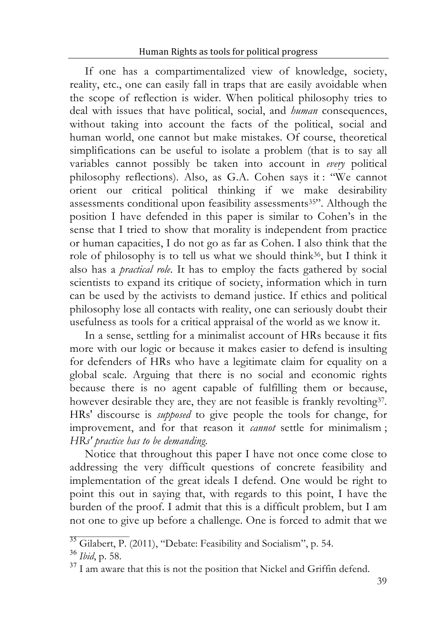If one has a compartimentalized view of knowledge, society, reality, etc., one can easily fall in traps that are easily avoidable when the scope of reflection is wider. When political philosophy tries to deal with issues that have political, social, and *human* consequences, without taking into account the facts of the political, social and human world, one cannot but make mistakes. Of course, theoretical simplifications can be useful to isolate a problem (that is to say all variables cannot possibly be taken into account in *every* political philosophy reflections). Also, as G.A. Cohen says it : "We cannot orient our critical political thinking if we make desirability assessments conditional upon feasibility assessments35". Although the position I have defended in this paper is similar to Cohen's in the sense that I tried to show that morality is independent from practice or human capacities, I do not go as far as Cohen. I also think that the role of philosophy is to tell us what we should think<sup>36</sup>, but I think it also has a *practical role*. It has to employ the facts gathered by social scientists to expand its critique of society, information which in turn can be used by the activists to demand justice. If ethics and political philosophy lose all contacts with reality, one can seriously doubt their usefulness as tools for a critical appraisal of the world as we know it.

In a sense, settling for a minimalist account of HRs because it fits more with our logic or because it makes easier to defend is insulting for defenders of HRs who have a legitimate claim for equality on a global scale. Arguing that there is no social and economic rights because there is no agent capable of fulfilling them or because, however desirable they are, they are not feasible is frankly revolting<sup>37</sup>. HRs' discourse is *supposed* to give people the tools for change, for improvement, and for that reason it *cannot* settle for minimalism ; *HRs' practice has to be demanding*.

Notice that throughout this paper I have not once come close to addressing the very difficult questions of concrete feasibility and implementation of the great ideals I defend. One would be right to point this out in saying that, with regards to this point, I have the burden of the proof. I admit that this is a difficult problem, but I am not one to give up before a challenge. One is forced to admit that we

<sup>&</sup>lt;sup>35</sup> Gilabert, P. (2011), "Debate: Feasibility and Socialism", p. 54.<br><sup>36</sup> *Ibid*, p. 58. <sup>37</sup> I am aware that this is not the position that Nickel and Griffin defend.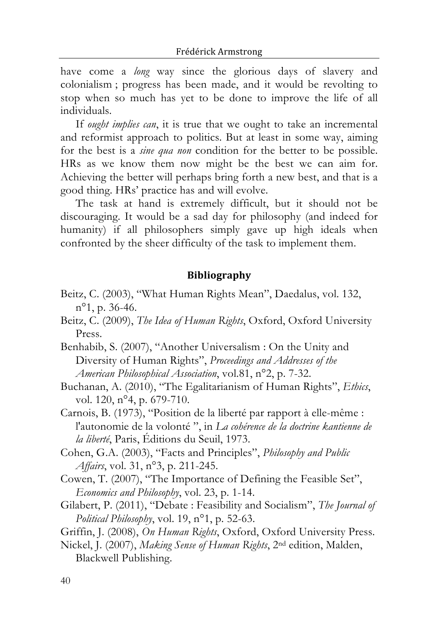have come a *long* way since the glorious days of slavery and colonialism ; progress has been made, and it would be revolting to stop when so much has yet to be done to improve the life of all individuals.

If *ought implies can*, it is true that we ought to take an incremental and reformist approach to politics. But at least in some way, aiming for the best is a *sine qua non* condition for the better to be possible. HRs as we know them now might be the best we can aim for. Achieving the better will perhaps bring forth a new best, and that is a good thing. HRs' practice has and will evolve.

The task at hand is extremely difficult, but it should not be discouraging. It would be a sad day for philosophy (and indeed for humanity) if all philosophers simply gave up high ideals when confronted by the sheer difficulty of the task to implement them.

### **Bibliography**

- Beitz, C. (2003), "What Human Rights Mean", Daedalus, vol. 132, n°1, p. 36-46.
- Beitz, C. (2009), *The Idea of Human Rights*, Oxford, Oxford University Press.
- Benhabib, S. (2007), "Another Universalism : On the Unity and Diversity of Human Rights", *Proceedings and Addresses of the American Philosophical Association*, vol.81, n°2, p. 7-32.
- Buchanan, A. (2010), "The Egalitarianism of Human Rights", *Ethics*, vol. 120, n°4, p. 679-710.

Carnois, B. (1973), "Position de la liberté par rapport à elle-même : l'autonomie de la volonté ", in *La cohérence de la doctrine kantienne de la liberté*, Paris, Éditions du Seuil, 1973.

- Cohen, G.A. (2003), "Facts and Principles", *Philosophy and Public Affairs*, vol. 31, n°3, p. 211-245.
- Cowen, T. (2007), "The Importance of Defining the Feasible Set", *Economics and Philosophy*, vol. 23, p. 1-14.
- Gilabert, P. (2011), "Debate : Feasibility and Socialism", *The Journal of Political Philosophy*, vol. 19, n°1, p. 52-63.

Griffin, J. (2008), *On Human Rights*, Oxford, Oxford University Press.

Nickel, J. (2007), *Making Sense of Human Rights*, 2nd edition, Malden, Blackwell Publishing.